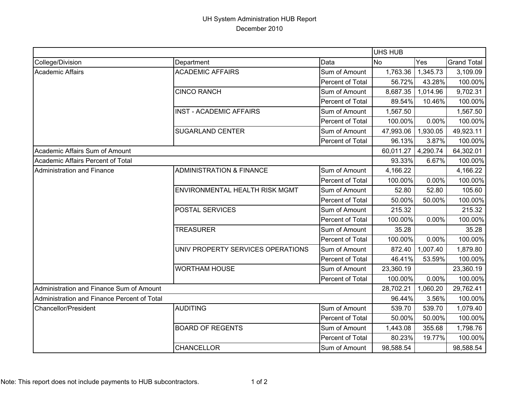## UH System Administration HUB Report December 2010

|                                             |                                     |                  | <b>UHS HUB</b> |          |                    |
|---------------------------------------------|-------------------------------------|------------------|----------------|----------|--------------------|
| College/Division                            | Department                          | Data             | <b>No</b>      | Yes      | <b>Grand Total</b> |
| <b>Academic Affairs</b>                     | <b>ACADEMIC AFFAIRS</b>             | Sum of Amount    | 1,763.36       | 1,345.73 | 3,109.09           |
|                                             |                                     | Percent of Total | 56.72%         | 43.28%   | 100.00%            |
|                                             | <b>CINCO RANCH</b>                  | Sum of Amount    | 8,687.35       | 1,014.96 | 9,702.31           |
|                                             |                                     | Percent of Total | 89.54%         | 10.46%   | 100.00%            |
|                                             | <b>INST - ACADEMIC AFFAIRS</b>      | Sum of Amount    | 1,567.50       |          | 1,567.50           |
|                                             |                                     | Percent of Total | 100.00%        | 0.00%    | 100.00%            |
|                                             | <b>SUGARLAND CENTER</b>             | Sum of Amount    | 47,993.06      | 1,930.05 | 49,923.11          |
|                                             |                                     | Percent of Total | 96.13%         | 3.87%    | 100.00%            |
| Academic Affairs Sum of Amount              |                                     |                  | 60,011.27      | 4,290.74 | 64,302.01          |
| Academic Affairs Percent of Total           |                                     |                  | 93.33%         | 6.67%    | 100.00%            |
| <b>Administration and Finance</b>           | <b>ADMINISTRATION &amp; FINANCE</b> | Sum of Amount    | 4,166.22       |          | 4,166.22           |
|                                             |                                     | Percent of Total | 100.00%        | 0.00%    | 100.00%            |
|                                             | ENVIRONMENTAL HEALTH RISK MGMT      | Sum of Amount    | 52.80          | 52.80    | 105.60             |
|                                             |                                     | Percent of Total | 50.00%         | 50.00%   | 100.00%            |
|                                             | <b>POSTAL SERVICES</b>              | Sum of Amount    | 215.32         |          | 215.32             |
|                                             |                                     | Percent of Total | 100.00%        | 0.00%    | 100.00%            |
|                                             | <b>TREASURER</b>                    | Sum of Amount    | 35.28          |          | 35.28              |
|                                             |                                     | Percent of Total | 100.00%        | 0.00%    | 100.00%            |
|                                             | UNIV PROPERTY SERVICES OPERATIONS   | Sum of Amount    | 872.40         | 1,007.40 | 1,879.80           |
|                                             |                                     | Percent of Total | 46.41%         | 53.59%   | 100.00%            |
|                                             | <b>WORTHAM HOUSE</b>                | Sum of Amount    | 23,360.19      |          | 23,360.19          |
|                                             |                                     | Percent of Total | 100.00%        | 0.00%    | 100.00%            |
| Administration and Finance Sum of Amount    |                                     |                  | 28,702.21      | 1,060.20 | 29,762.41          |
| Administration and Finance Percent of Total |                                     |                  | 96.44%         | 3.56%    | 100.00%            |
| <b>Chancellor/President</b>                 | <b>AUDITING</b>                     | Sum of Amount    | 539.70         | 539.70   | 1,079.40           |
|                                             |                                     | Percent of Total | 50.00%         | 50.00%   | 100.00%            |
|                                             | <b>BOARD OF REGENTS</b>             | Sum of Amount    | 1,443.08       | 355.68   | 1,798.76           |
|                                             |                                     | Percent of Total | 80.23%         | 19.77%   | 100.00%            |
|                                             | <b>CHANCELLOR</b>                   | Sum of Amount    | 98,588.54      |          | 98,588.54          |